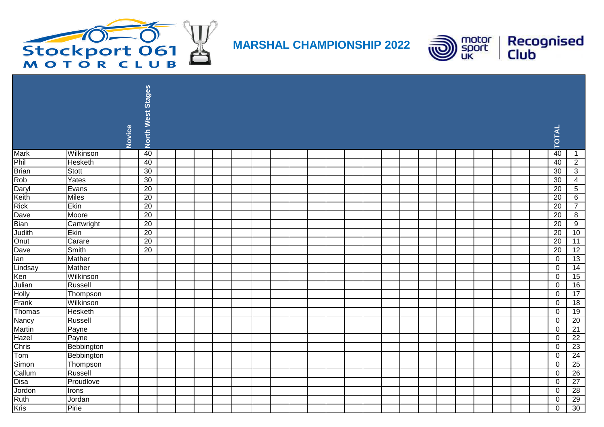

**MARSHAL CHAMPIONSHIP 2022**



|               |                |        | North West Stages |  |  |  |  |  |  |  |  |  |  |                 |                 |
|---------------|----------------|--------|-------------------|--|--|--|--|--|--|--|--|--|--|-----------------|-----------------|
|               |                | Novice |                   |  |  |  |  |  |  |  |  |  |  | <b>TOTAL</b>    |                 |
| <b>Mark</b>   | Wilkinson      |        | 40                |  |  |  |  |  |  |  |  |  |  | 40              | $\overline{1}$  |
| Phil          | <b>Hesketh</b> |        | 40                |  |  |  |  |  |  |  |  |  |  | 40              | $\overline{2}$  |
| <b>Brian</b>  | <b>Stott</b>   |        | 30                |  |  |  |  |  |  |  |  |  |  | 30              | $\overline{3}$  |
| Rob           | Yates          |        | 30                |  |  |  |  |  |  |  |  |  |  | 30              | $\overline{4}$  |
| Daryl         | Evans          |        | 20                |  |  |  |  |  |  |  |  |  |  | $\overline{20}$ | $\overline{5}$  |
| Keith         | Miles          |        | 20                |  |  |  |  |  |  |  |  |  |  | 20              | 6               |
| <b>Rick</b>   | Ekin           |        | $\overline{20}$   |  |  |  |  |  |  |  |  |  |  | 20              | $\overline{7}$  |
| Dave          | Moore          |        | $\overline{20}$   |  |  |  |  |  |  |  |  |  |  | $\overline{20}$ | 8               |
| <b>Bian</b>   | Cartwright     |        | 20                |  |  |  |  |  |  |  |  |  |  | 20              | 9               |
| Judith        | Ekin           |        | 20                |  |  |  |  |  |  |  |  |  |  | 20              | 10              |
| Onut          | Carare         |        | 20                |  |  |  |  |  |  |  |  |  |  | 20              | 11              |
| Dave          | Smith          |        | $\overline{20}$   |  |  |  |  |  |  |  |  |  |  | 20              | 12              |
| lan           | Mather         |        |                   |  |  |  |  |  |  |  |  |  |  | 0               | 13              |
| Lindsay       | Mather         |        |                   |  |  |  |  |  |  |  |  |  |  | $\mathbf 0$     | 14              |
| Ken           | Wilkinson      |        |                   |  |  |  |  |  |  |  |  |  |  | $\mathbf 0$     | 15              |
| Julian        | Russell        |        |                   |  |  |  |  |  |  |  |  |  |  | $\mathbf 0$     | 16              |
| Holly         | Thompson       |        |                   |  |  |  |  |  |  |  |  |  |  | $\mathbf 0$     | $\overline{17}$ |
| Frank         | Wilkinson      |        |                   |  |  |  |  |  |  |  |  |  |  | $\mathbf 0$     | 18              |
| Thomas        | Hesketh        |        |                   |  |  |  |  |  |  |  |  |  |  | $\mathbf 0$     | 19              |
| <b>Nancy</b>  | Russell        |        |                   |  |  |  |  |  |  |  |  |  |  | $\mathbf 0$     | $\overline{20}$ |
| <b>Martin</b> | Payne          |        |                   |  |  |  |  |  |  |  |  |  |  | 0               | 21              |
| Hazel         | Payne          |        |                   |  |  |  |  |  |  |  |  |  |  | $\mathbf 0$     | 22              |
| Chris         | Bebbington     |        |                   |  |  |  |  |  |  |  |  |  |  | 0               | $\overline{23}$ |
| Tom           | Bebbington     |        |                   |  |  |  |  |  |  |  |  |  |  | $\mathbf 0$     | $\overline{24}$ |
| Simon         | Thompson       |        |                   |  |  |  |  |  |  |  |  |  |  | 0               | $\overline{25}$ |
| Callum        | Russell        |        |                   |  |  |  |  |  |  |  |  |  |  | 0               | $\overline{26}$ |
| Disa          | Proudlove      |        |                   |  |  |  |  |  |  |  |  |  |  | 0               | $\overline{27}$ |
| Jordon        | Irons          |        |                   |  |  |  |  |  |  |  |  |  |  | $\mathbf 0$     | $\overline{28}$ |
| Ruth          | Jordan         |        |                   |  |  |  |  |  |  |  |  |  |  | $\Omega$        | 29              |
| <b>Kris</b>   | Pirie          |        |                   |  |  |  |  |  |  |  |  |  |  | $\mathbf 0$     | 30              |